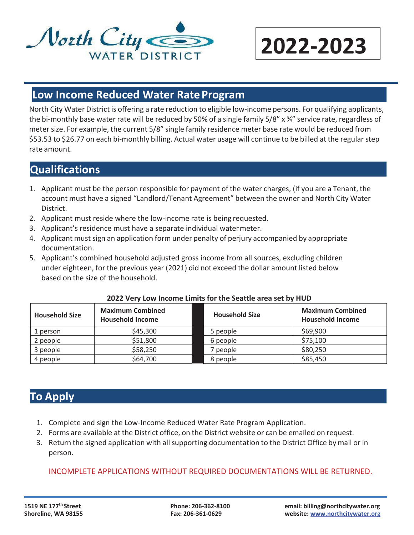

# **2022-2023**

#### **Low Income Reduced Water RateProgram**

North City Water District is offering a rate reduction to eligible low-income persons. For qualifying applicants, the bi-monthly base water rate will be reduced by 50% of a single family 5/8" x ¾" service rate, regardless of meter size. For example, the current 5/8" single family residence meter base rate would be reduced from \$53.53 to \$26.77 on each bi-monthly billing. Actual water usage will continue to be billed at the regularstep rate amount.

## **Qualifications**

- 1. Applicant must be the person responsible for payment of the water charges, (if you are a Tenant, the account must have a signed "Landlord/Tenant Agreement" between the owner and North City Water District.
- 2. Applicant must reside where the low-income rate is being requested.
- 3. Applicant's residence must have a separate individual watermeter.
- 4. Applicant must sign an application form under penalty of perjury accompanied by appropriate documentation.
- 5. Applicant's combined household adjusted gross income from all sources, excluding children under eighteen, for the previous year (2021) did not exceed the dollar amount listed below based on the size of the household.

| <b>Household Size</b> | <b>Maximum Combined</b><br><b>Household Income</b> | <b>Household Size</b> | <b>Maximum Combined</b><br><b>Household Income</b> |
|-----------------------|----------------------------------------------------|-----------------------|----------------------------------------------------|
| 1 person              | \$45,300                                           | 5 people              | \$69,900                                           |
| 2 people              | \$51,800                                           | 6 people              | \$75,100                                           |
| 3 people              | \$58,250                                           | ' people              | \$80,250                                           |
| 4 people              | \$64,700                                           | 8 people              | \$85,450                                           |

#### **2022 Very Low Income Limits for the Seattle area set by HUD**

## **To Apply**

- 1. Complete and sign the Low-Income Reduced Water Rate Program Application.
- 2. Forms are available at the District office, on the District website or can be emailed on request.
- 3. Return the signed application with all supporting documentation to the District Office by mail or in person.

#### INCOMPLETE APPLICATIONS WITHOUT REQUIRED DOCUMENTATIONS WILL BE RETURNED.